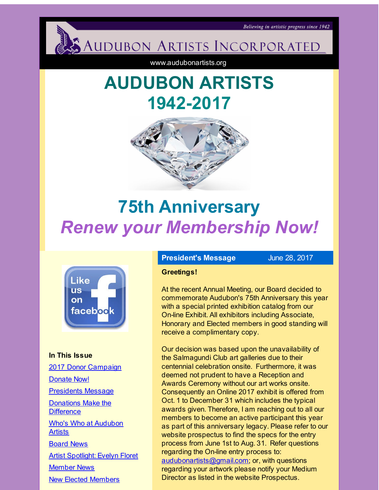<span id="page-0-0"></span>

www.audubonartists.org

# **AUDUBON ARTISTS 1942-2017**



# **75th Anniversary** *Renew your Membership Now!*



**In This Issue** 2017 Donor [Campaign](#page-0-0) [Donate](#page-0-0) Now! [Presidents](#page-0-0) Message [Donations](#page-0-0) Make the **Difference** Who's Who at [Audubon](#page-0-0) **Artists** [Board](#page-0-0) News Artist [Spotlight:](#page-0-0) Evelyn Floret [Member](#page-0-0) News New Elected [Members](#page-0-0)

# **President's Message** June 28, 2017

#### **Greetings!**

At the recent Annual Meeting, our Board decided to commemorate Audubon's 75th Anniversary this year with a special printed exhibition catalog from our On-line Exhibit. All exhibitors including Associate, Honorary and Elected members in good standing will receive a complimentary copy.

Our decision was based upon the unavailability of the Salmagundi Club art galleries due to their centennial celebration onsite. Furthermore, it was deemed not prudent to have a Reception and Awards Ceremony without our art works onsite. Consequently an Online 2017 exhibit is offered from Oct. 1 to December 31 which includes the typical awards given. Therefore, I am reaching out to all our members to become an active participant this year as part of this anniversary legacy. Please refer to our website prospectus to find the specs for the entry process from June 1st to Aug. 31. Refer questions regarding the On-line entry process to: [audubonartists@gmail.com](mailto:audubonartists@gmail.com); or, with questions regarding your artwork please notify your Medium Director as listed in the website Prospectus.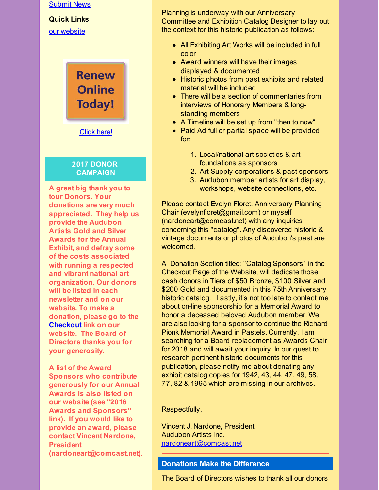#### [Submit](#page-0-0) News

#### **Quick Links**

our [website](http://r20.rs6.net/tn.jsp?f=001jJ5FWilId9zhwJpOPnLiVn_pcKT73QXRYNZ7Cs6aoS5TxU6D9PuaXzuhtKNIjYfpmOTKyIESfj3YxyQFNi0yZJHQ2u6r36Ro2NND1OBIZQ_qNweyDhi9cJ474o45dTV8BsPqVNAhLgGJW8BbEHg9uixsTfg-9O5qKpGtGE-3LSJDXPDrY84BUw==&c=&ch=)

**Renew Online Today!** 

[Click](http://r20.rs6.net/tn.jsp?f=001jJ5FWilId9zhwJpOPnLiVn_pcKT73QXRYNZ7Cs6aoS5TxU6D9PuaX31EHSeR8ZtBdL-fCmQ8oTfW8B-OxR2hKsE5GwTfPdJ6J3XiDSx8fpaPXQGX5CrPpEoISitDuiLirw_1aUePx90f_mGToQK4Uu1Iq6PEj1UD8yNsrvCo6zBDxSyJdOR5QPx-Rx5dPaAOUsmS6Fn6rUE=&c=&ch=) here!

#### **2017 DONOR CAMPAIGN**

**A great big thank you to tour Donors. Your donations are very much appreciated. They help us provide the Audubon Artists Gold and Silver Awards for the Annual Exhibit, and defray some of the costs associated with running a respected and vibrant national art organization. Our donors will be listed in each newsletter and on our website. To make a donation, please go to the [Checkout](http://r20.rs6.net/tn.jsp?f=001jJ5FWilId9zhwJpOPnLiVn_pcKT73QXRYNZ7Cs6aoS5TxU6D9PuaX29x2rKWY6Y6K4Ug5WTGzW7wfTsruKXGs_GdtcD3g_P8fF-pN3S9OMqyaE3BZpxJOUP-_WlTXh_7OhAD0ySdzSX_ECh6t6AGj5-u1br29EKWSGHKFdu3kVPmq5bENdZII4NiBXE_D0Qa&c=&ch=) link on our website. The Board of Directors thanks you for your generosity.**

**A list of the Award Sponsors who contribute generously for our Annual Awards is also listed on our website (see "2016 Awards and Sponsors" link). If you would like to provide an award, please contact Vincent Nardone, President (nardoneart@comcast.net).**

Planning is underway with our Anniversary Committee and Exhibition Catalog Designer to lay out the context for this historic publication as follows:

- All Exhibiting Art Works will be included in full color
- Award winners will have their images displayed & documented
- Historic photos from past exhibits and related material will be included
- There will be a section of commentaries from interviews of Honorary Members & longstanding members
- A Timeline will be set up from "then to now"
- Paid Ad full or partial space will be provided for:
	- 1. Local/national art societies & art foundations as sponsors
	- 2. Art Supply corporations & past sponsors
	- 3. Audubon member artists for art display, workshops, website connections, etc.

Please contact Evelyn Floret, Anniversary Planning Chair (evelynfloret@gmail.com) or myself (nardoneart@comcast.net) with any inquiries concerning this "catalog". Any discovered historic & vintage documents or photos of Audubon's past are welcomed.

A Donation Section titled: "Catalog Sponsors" in the Checkout Page of the Website, will dedicate those cash donors in Tiers of \$50 Bronze, \$100 Silver and \$200 Gold and documented in this 75th Anniversary historic catalog. Lastly, it's not too late to contact me about on-line sponsorship for a Memorial Award to honor a deceased beloved Audubon member. We are also looking for a sponsor to continue the Richard Pionk Memorial Award in Pastels. Currently, I am searching for a Board replacement as Awards Chair for 2018 and will await your inquiry. In our quest to research pertinent historic documents for this publication, please notify me about donating any exhibit catalog copies for 1942, 43, 44, 47, 49, 58, 77, 82 & 1995 which are missing in our archives.

#### Respectfully,

Vincent J. Nardone, President Audubon Artists Inc. [nardoneart@comcast.net](mailto:nardoneart@comcast.net)

# **Donations Make the Difference**

The Board of Directors wishes to thank all our donors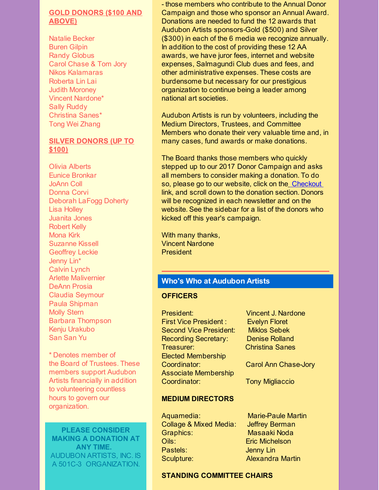### **GOLD DONORS (\$100 AND ABOVE)**

Natalie Becker Buren Gilpin Randy Globus Carol Chase & Tom Jory Nikos Kalamaras Roberta Lin Lai Judith Moroney Vincent Nardone\* Sally Ruddy Christina Sanes\* Tong Wei Zhang

### **SILVER DONORS (UP TO \$100)**

Olivia Alberts Eunice Bronkar JoAnn Coll Donna Corvi Deborah LaFogg Doherty Lisa Holley Juanita Jones Robert Kelly Mona Kirk Suzanne Kissell Geoffrey Leckie Jenny Lin\* Calvin Lynch Arlette Malivernier DeAnn Prosia Claudia Seymour Paula Shipman Molly Stern Barbara Thompson Kenju Urakubo San San Yu

\* Denotes member of the Board of Trustees. These members support Audubon Artists financially in addition to volunteering countless hours to govern our organization.

**PLEASE CONSIDER MAKING A DONATION AT ANY TIME.** AUDUBON ARTISTS, INC. IS A 501C-3 ORGANIZATION.

- those members who contribute to the Annual Donor Campaign and those who sponsor an Annual Award. Donations are needed to fund the 12 awards that Audubon Artists sponsors-Gold (\$500) and Silver (\$300) in each of the 6 media we recognize annually. In addition to the cost of providing these 12 AA awards, we have juror fees, internet and website expenses, Salmagundi Club dues and fees, and other administrative expenses. These costs are burdensome but necessary for our prestigious organization to continue being a leader among national art societies.

Audubon Artists is run by volunteers, including the Medium Directors, Trustees, and Committee Members who donate their very valuable time and, in many cases, fund awards or make donations.

The Board thanks those members who quickly stepped up to our 2017 Donor Campaign and asks all members to consider making a donation. To do so, please go to our website, click on the [Checkout](http://r20.rs6.net/tn.jsp?f=001jJ5FWilId9zhwJpOPnLiVn_pcKT73QXRYNZ7Cs6aoS5TxU6D9PuaX29x2rKWY6Y6K4Ug5WTGzW7wfTsruKXGs_GdtcD3g_P8fF-pN3S9OMqyaE3BZpxJOUP-_WlTXh_7OhAD0ySdzSX_ECh6t6AGj5-u1br29EKWSGHKFdu3kVPmq5bENdZII4NiBXE_D0Qa&c=&ch=) link, and scroll down to the donation section. Donors will be recognized in each newsletter and on the website. See the sidebar for a list of the donors who kicked off this year's campaign.

With many thanks, Vincent Nardone **President** 

# **Who's Who at Audubon Artists**

#### **OFFICERS**

- President: Vincent J. Nardone First Vice President : Evelyn Floret Second Vice President: Miklos Sebek Recording Secretary: Denise Rolland Treasurer: Christina Sanes Elected Membership Coordinator: Carol Ann Chase-Jory Associate Membership Coordinator: Tony Migliaccio
- 

### **MEDIUM DIRECTORS**

Aquamedia: Marie-Paule Martin Collage & Mixed Media: Jeffrey Berman Graphics: Masaaki Noda Oils: Eric Michelson Pastels: **Jenny Lin** Sculpture: **Alexandra Martin** 

# **STANDING COMMITTEE CHAIRS**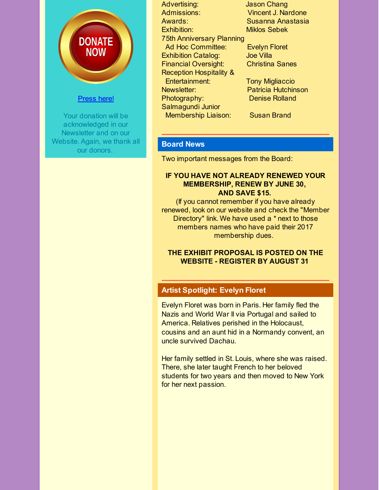

# [Press](http://r20.rs6.net/tn.jsp?f=001jJ5FWilId9zhwJpOPnLiVn_pcKT73QXRYNZ7Cs6aoS5TxU6D9PuaX29x2rKWY6Y6K4Ug5WTGzW7wfTsruKXGs_GdtcD3g_P8fF-pN3S9OMqyaE3BZpxJOUP-_WlTXh_7OhAD0ySdzSX_ECh6t6AGj5-u1br29EKWSGHKFdu3kVPmq5bENdZII4NiBXE_D0Qa&c=&ch=) here!

Your donation will be acknowledged in our Newsletter and on our Website. Again, we thank all our donors.

Advertising: Jason Chang Admissions: Vincent J. Nardone Awards: Susanna Anastasia Exhibition: Miklos Sebek 75th Anniversary Planning Ad Hoc Committee: Evelyn Floret Exhibition Catalog: Joe Villa Financial Oversight: Christina Sanes Reception Hospitality & Entertainment: Tony Migliaccio Newsletter: Patricia Hutchinson Photography: Denise Rolland Salmagundi Junior

Membership Liaison: Susan Brand

# **Board News**

Two important messages from the Board:

#### **IF YOU HAVE NOT ALREADY RENEWED YOUR MEMBERSHIP, RENEW BY JUNE 30, AND SAVE \$15.**

(If you cannot remember if you have already renewed, look on our website and check the "Member Directory" link. We have used a \* next to those members names who have paid their 2017 membership dues.

## **THE EXHIBIT PROPOSAL IS POSTED ON THE WEBSITE - REGISTER BY AUGUST 31**

# **Artist Spotlight: Evelyn Floret**

Evelyn Floret was born in Paris. Her family fled the Nazis and World War II via Portugal and sailed to America. Relatives perished in the Holocaust, cousins and an aunt hid in a Normandy convent, an uncle survived Dachau.

Her family settled in St. Louis, where she was raised. There, she later taught French to her beloved students for two years and then moved to New York for her next passion.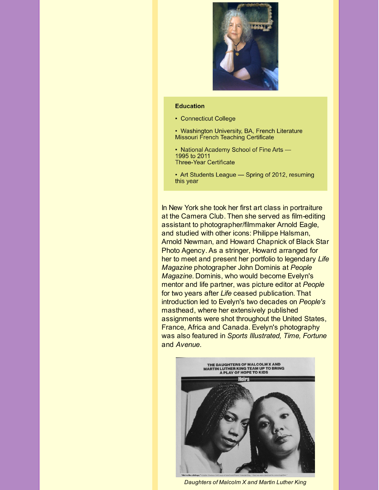

#### **Education**

- Connecticut College
- Washington University, BA, French Literature **Missouri French Teaching Certificate**
- National Academy School of Fine Arts -1995 to 2011 **Three-Year Certificate**
- Art Students League Spring of 2012, resuming this year

In New York she took her first art class in portraiture at the Camera Club. Then she served as film-editing assistant to photographer/filmmaker Arnold Eagle, and studied with other icons: Philippe Halsman, Arnold Newman, and Howard Chapnick of Black Star Photo Agency. As a stringer, Howard arranged for her to meet and present her portfolio to legendary *Life Magazine* photographer John Dominis at *People Magazine*. Dominis, who would become Evelyn's mentor and life partner, was picture editor at *People* for two years after *Life* ceased publication. That introduction led to Evelyn's two decades on *People's* masthead, where her extensively published assignments were shot throughout the United States, France, Africa and Canada. Evelyn's photography was also featured in *Sports Illustrated, Time, Fortune* and *Avenue*.



*Daughters of Malcolm X and Martin Luther King*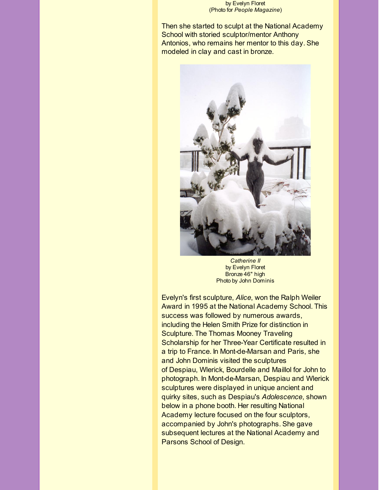by Evelyn Floret (Photo for *People Magazine*)

Then she started to sculpt at the National Academy School with storied sculptor/mentor Anthony Antonios, who remains her mentor to this day. She modeled in clay and cast in bronze.



*Catherine II* by Evelyn Floret Bronze 46" high Photo by John Dominis

Evelyn's first sculpture, *Alice*, won the Ralph Weiler Award in 1995 at the National Academy School. This success was followed by numerous awards, including the Helen Smith Prize for distinction in Sculpture. The Thomas Mooney Traveling Scholarship for her Three-Year Certificate resulted in a trip to France. In Mont-de-Marsan and Paris, she and John Dominis visited the sculptures of Despiau, Wlerick, Bourdelle and Maillol for John to photograph. In Mont-de-Marsan, Despiau and Wlerick sculptures were displayed in unique ancient and quirky sites, such as Despiau's *Adolescence*, shown below in a phone booth. Her resulting National Academy lecture focused on the four sculptors, accompanied by John's photographs. She gave subsequent lectures at the National Academy and Parsons School of Design.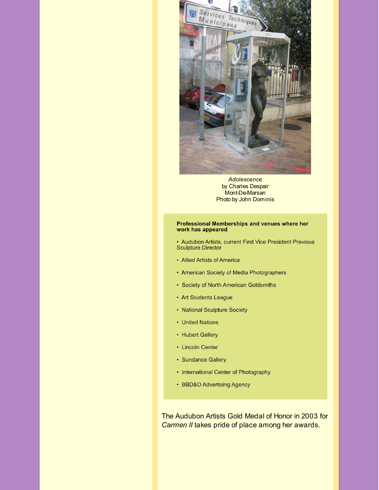

*Adolescence* by Charles Despair Mont-De-Marsan Photo by John Dominis

#### Professional Memberships and venues where her work has appeared

• Audubon Artists, current First Vice President Previous **Sculpture Director** 

- Allied Artists of America
- American Society of Media Photographers
- Society of North American Goldsmiths
- Art Students League
- National Sculpture Society
- United Nations
- Hubert Gallery
- Lincoln Center
- Sundance Gallery
- International Center of Photography
- BBD&O Advertising Agency

The Audubon Artists Gold Medal of Honor in 2003 for *Carmen II* takes pride of place among her awards.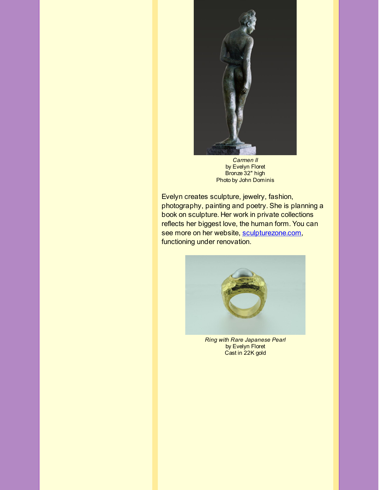

*Carmen II* by Evelyn Floret Bronze 32" high Photo by John Dominis

Evelyn creates sculpture, jewelry, fashion, photography, painting and poetry. She is planning a book on sculpture. Her work in private collections reflects her biggest love, the human form. You can see more on her website, [sculpturezone.com](http://r20.rs6.net/tn.jsp?f=001jJ5FWilId9zhwJpOPnLiVn_pcKT73QXRYNZ7Cs6aoS5TxU6D9PuaX1qfdYtws_FGruX2yMLsMHc__YMKkooYLhWBmnSh1df5XAD17gO-Pcya18TaV1KxU-41VuBA5xr_QaT8zic998HAwz19xuOFUIs9HpxDnKRzve4bFZTeTw1BNUX4zvk_dg==&c=&ch=), functioning under renovation.



*Ring with Rare Japanese Pearl* by Evelyn Floret Cast in 22K gold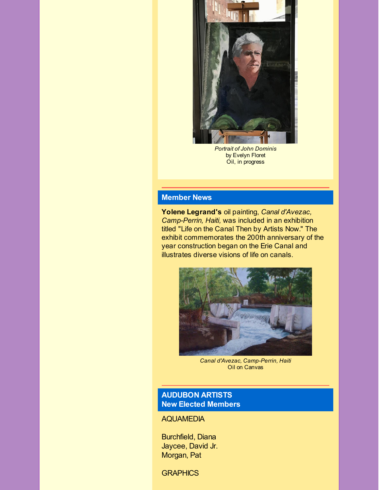

*Portrait of John Dominis* by Evelyn Floret Oil, in progress

# **Member News**

**Yolene Legrand's** oil painting, *Canal d'Avezac, Camp-Perrin, Haiti,* was included in an exhibition titled "Life on the Canal Then by Artists Now." The exhibit commemorates the 200th anniversary of the year construction began on the Erie Canal and illustrates diverse visions of life on canals.



*Canal d'Avezac, Camp-Perrin, Haiti* Oil on Canvas

# **AUDUBON ARTISTS New Elected Members**

AQUAMEDIA

Burchfield, Diana Jaycee, David Jr. Morgan, Pat

**GRAPHICS**